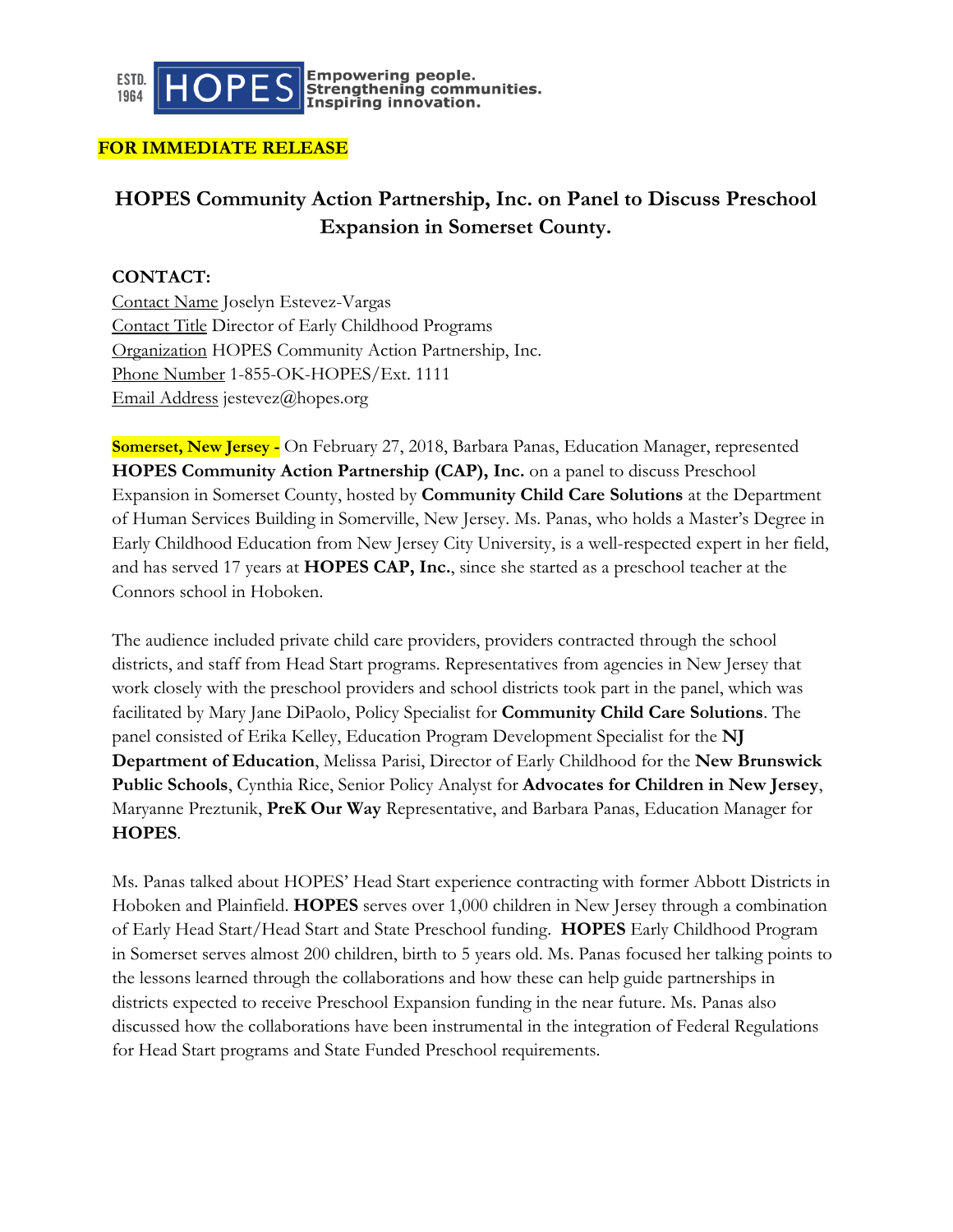

Empowering people.<br>Strengthening communities.<br>Inspiring innovation.

#### **FOR IMMEDIATE RELEASE**

# **HOPES Community Action Partnership, Inc. on Panel to Discuss Preschool Expansion in Somerset County.**

### **CONTACT:**

Contact Name Joselyn Estevez-Vargas Contact Title Director of Early Childhood Programs Organization HOPES Community Action Partnership, Inc. Phone Number 1-855-OK-HOPES/Ext. 1111 Email Address jestevez@hopes.org

**Somerset, New Jersey -** On February 27, 2018, Barbara Panas, Education Manager, represented **HOPES Community Action Partnership (CAP), Inc.** on a panel to discuss Preschool Expansion in Somerset County, hosted by **Community Child Care Solutions** at the Department of Human Services Building in Somerville, New Jersey. Ms. Panas, who holds a Master's Degree in Early Childhood Education from New Jersey City University, is a well-respected expert in her field, and has served 17 years at **HOPES CAP, Inc.**, since she started as a preschool teacher at the Connors school in Hoboken.

The audience included private child care providers, providers contracted through the school districts, and staff from Head Start programs. Representatives from agencies in New Jersey that work closely with the preschool providers and school districts took part in the panel, which was facilitated by Mary Jane DiPaolo, Policy Specialist for **Community Child Care Solutions**. The panel consisted of Erika Kelley, Education Program Development Specialist for the **NJ Department of Education**, Melissa Parisi, Director of Early Childhood for the **New Brunswick Public Schools**, Cynthia Rice, Senior Policy Analyst for **Advocates for Children in New Jersey**, Maryanne Preztunik, **PreK Our Way** Representative, and Barbara Panas, Education Manager for **HOPES**.

Ms. Panas talked about HOPES' Head Start experience contracting with former Abbott Districts in Hoboken and Plainfield. **HOPES** serves over 1,000 children in New Jersey through a combination of Early Head Start/Head Start and State Preschool funding. **HOPES** Early Childhood Program in Somerset serves almost 200 children, birth to 5 years old. Ms. Panas focused her talking points to the lessons learned through the collaborations and how these can help guide partnerships in districts expected to receive Preschool Expansion funding in the near future. Ms. Panas also discussed how the collaborations have been instrumental in the integration of Federal Regulations for Head Start programs and State Funded Preschool requirements.